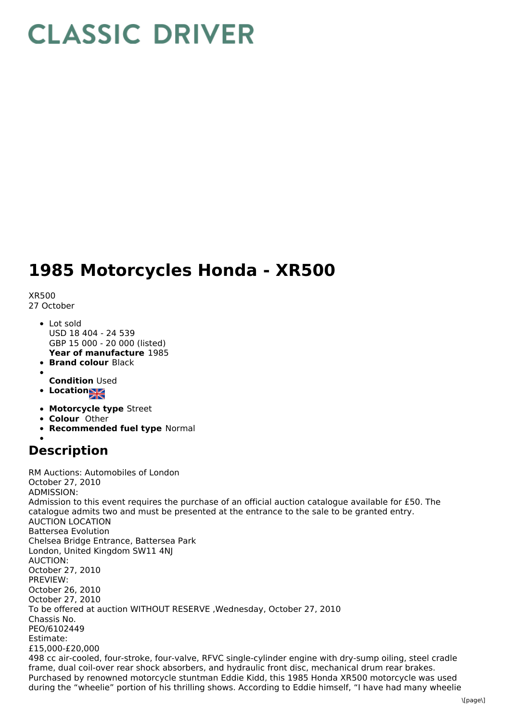## **CLASSIC DRIVER**

## **1985 Motorcycles Honda - XR500**

XR500

27 October

- **Year of manufacture** 1985 Lot sold USD 18 404 - 24 539 GBP 15 000 - 20 000 (listed)
- **Brand colour** Black
- **Condition** Used
- **Location**
- **Motorcycle type** Street
- **Colour** Other
- **Recommended fuel type** Normal

## **Description**

RM Auctions: Automobiles of London October 27, 2010 ADMISSION: Admission to this event requires the purchase of an official auction catalogue available for £50. The catalogue admits two and must be presented at the entrance to the sale to be granted entry. AUCTION LOCATION Battersea Evolution Chelsea Bridge Entrance, Battersea Park London, United Kingdom SW11 4NJ AUCTION: October 27, 2010 PREVIEW: October 26, 2010 October 27, 2010 To be offered at auction WITHOUT RESERVE ,Wednesday, October 27, 2010 Chassis No. PEO/6102449 Estimate: £15,000-£20,000 498 cc air-cooled, four-stroke, four-valve, RFVC single-cylinder engine with dry-sump oiling, steel cradle frame, dual coil-over rear shock absorbers, and hydraulic front disc, mechanical drum rear brakes. Purchased by renowned motorcycle stuntman Eddie Kidd, this 1985 Honda XR500 motorcycle was used during the "wheelie" portion of his thrilling shows. According to Eddie himself, "I have had many wheelie